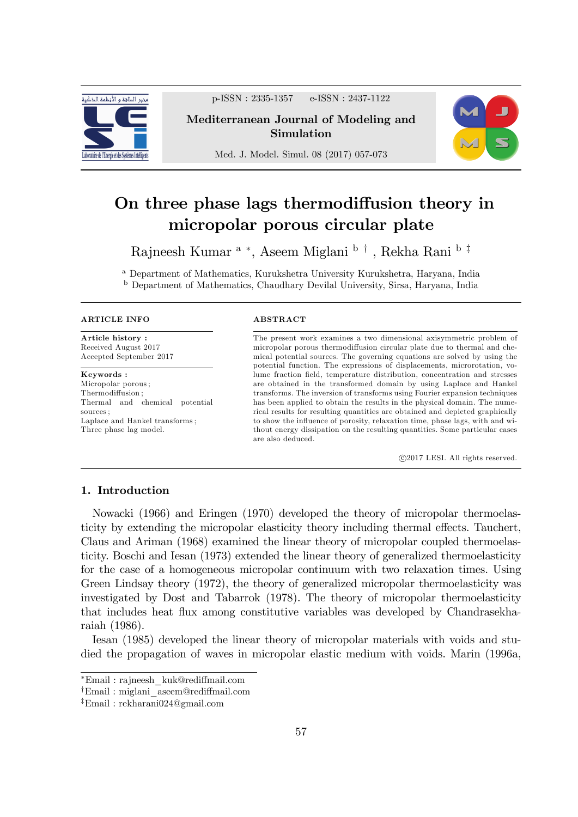

p-ISSN : 2335-1357 e-ISSN : 2437-1122

Mediterranean Journal of Modeling and Simulation

Med. J. Model. Simul. 08 (2017) 057-073

# On three phase lags thermodiffusion theory in micropolar porous circular plate

Rajneesh Kumar <sup>a</sup> \*, Aseem Miglani <sup>b †</sup> , Rekha Rani <sup>b‡</sup>

<sup>a</sup> Department of Mathematics, Kurukshetra University Kurukshetra, Haryana, India <sup>b</sup> Department of Mathematics, Chaudhary Devilal University, Sirsa, Haryana, India

#### ARTICLE INFO

Article history : Received August 2017 Accepted September 2017

Keywords : Micropolar porous ; Thermodiffusion: Thermal and chemical potential sources ; Laplace and Hankel transforms ; Three phase lag model.

#### **ABSTRACT**

The present work examines a two dimensional axisymmetric problem of micropolar porous thermodiffusion circular plate due to thermal and chemical potential sources. The governing equations are solved by using the potential function. The expressions of displacements, microrotation, volume fraction field, temperature distribution, concentration and stresses are obtained in the transformed domain by using Laplace and Hankel transforms. The inversion of transforms using Fourier expansion techniques has been applied to obtain the results in the physical domain. The numerical results for resulting quantities are obtained and depicted graphically to show the influence of porosity, relaxation time, phase lags, with and without energy dissipation on the resulting quantities. Some particular cases are also deduced.

c 2017 LESI. All rights reserved.

## 1. Introduction

Nowacki (1966) and Eringen (1970) developed the theory of micropolar thermoelasticity by extending the micropolar elasticity theory including thermal effects. Tauchert, Claus and Ariman (1968) examined the linear theory of micropolar coupled thermoelasticity. Boschi and Iesan (1973) extended the linear theory of generalized thermoelasticity for the case of a homogeneous micropolar continuum with two relaxation times. Using Green Lindsay theory (1972), the theory of generalized micropolar thermoelasticity was investigated by Dost and Tabarrok (1978). The theory of micropolar thermoelasticity that includes heat flux among constitutive variables was developed by Chandrasekharaiah (1986).

Iesan (1985) developed the linear theory of micropolar materials with voids and studied the propagation of waves in micropolar elastic medium with voids. Marin (1996a,



Email : rajneesh\_kuk@redi§mail.com

<sup>&</sup>lt;sup>†</sup>Email : miglani aseem@rediffmail.com

 $E$ mail: rekharani024@gmail.com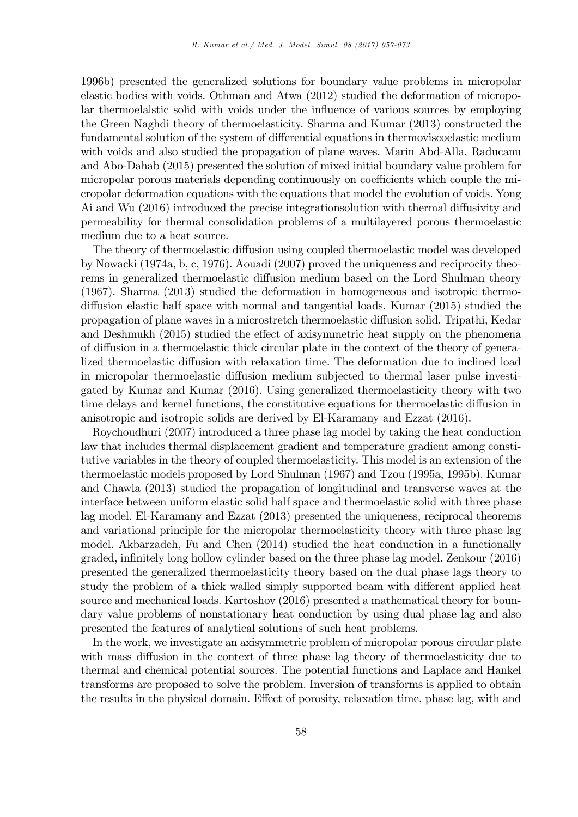1996b) presented the generalized solutions for boundary value problems in micropolar elastic bodies with voids. Othman and Atwa (2012) studied the deformation of micropolar thermoelalstic solid with voids under the influence of various sources by employing the Green Naghdi theory of thermoelasticity. Sharma and Kumar (2013) constructed the fundamental solution of the system of differential equations in thermoviscoelastic medium with voids and also studied the propagation of plane waves. Marin Abd-Alla, Raducanu and Abo-Dahab (2015) presented the solution of mixed initial boundary value problem for micropolar porous materials depending continuously on coefficients which couple the micropolar deformation equations with the equations that model the evolution of voids. Yong Ai and Wu  $(2016)$  introduced the precise integrations out in the thermal diffusivity and permeability for thermal consolidation problems of a multilayered porous thermoelastic medium due to a heat source.

The theory of thermoelastic diffusion using coupled thermoelastic model was developed by Nowacki (1974a, b, c, 1976). Aouadi (2007) proved the uniqueness and reciprocity theorems in generalized thermoelastic diffusion medium based on the Lord Shulman theory (1967). Sharma (2013) studied the deformation in homogeneous and isotropic thermodiffusion elastic half space with normal and tangential loads. Kumar (2015) studied the propagation of plane waves in a microstretch thermoelastic diffusion solid. Tripathi, Kedar and Deshmukh (2015) studied the effect of axisymmetric heat supply on the phenomena of diffusion in a thermoelastic thick circular plate in the context of the theory of generalized thermoelastic diffusion with relaxation time. The deformation due to inclined load in micropolar thermoelastic diffusion medium subjected to thermal laser pulse investigated by Kumar and Kumar (2016). Using generalized thermoelasticity theory with two time delays and kernel functions, the constitutive equations for thermoelastic diffusion in anisotropic and isotropic solids are derived by El-Karamany and Ezzat (2016).

Roychoudhuri (2007) introduced a three phase lag model by taking the heat conduction law that includes thermal displacement gradient and temperature gradient among constitutive variables in the theory of coupled thermoelasticity. This model is an extension of the thermoelastic models proposed by Lord Shulman (1967) and Tzou (1995a, 1995b). Kumar and Chawla (2013) studied the propagation of longitudinal and transverse waves at the interface between uniform elastic solid half space and thermoelastic solid with three phase lag model. El-Karamany and Ezzat (2013) presented the uniqueness, reciprocal theorems and variational principle for the micropolar thermoelasticity theory with three phase lag model. Akbarzadeh, Fu and Chen (2014) studied the heat conduction in a functionally graded, inÖnitely long hollow cylinder based on the three phase lag model. Zenkour (2016) presented the generalized thermoelasticity theory based on the dual phase lags theory to study the problem of a thick walled simply supported beam with different applied heat source and mechanical loads. Kartoshov (2016) presented a mathematical theory for boundary value problems of nonstationary heat conduction by using dual phase lag and also presented the features of analytical solutions of such heat problems.

In the work, we investigate an axisymmetric problem of micropolar porous circular plate with mass diffusion in the context of three phase lag theory of thermoelasticity due to thermal and chemical potential sources. The potential functions and Laplace and Hankel transforms are proposed to solve the problem. Inversion of transforms is applied to obtain the results in the physical domain. Effect of porosity, relaxation time, phase lag, with and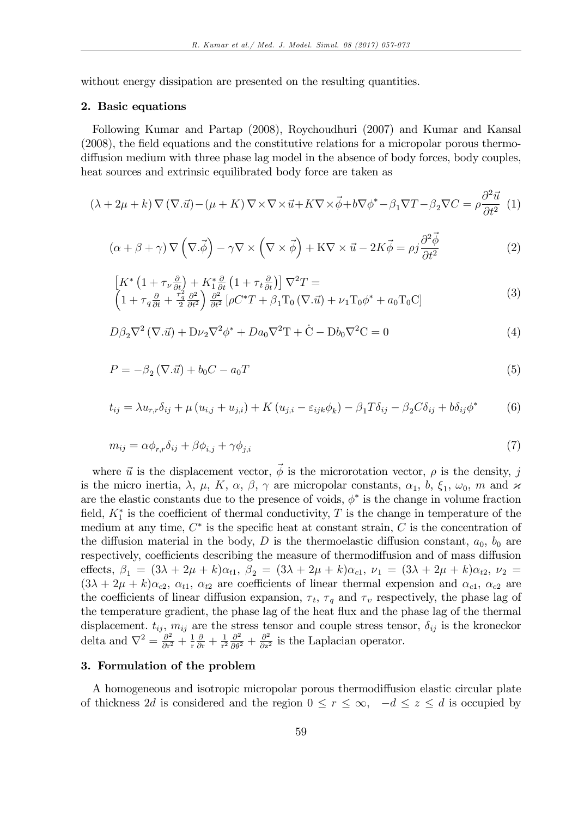without energy dissipation are presented on the resulting quantities.

#### 2. Basic equations

Following Kumar and Partap (2008), Roychoudhuri (2007) and Kumar and Kansal (2008), the field equations and the constitutive relations for a micropolar porous thermodiffusion medium with three phase lag model in the absence of body forces, body couples, heat sources and extrinsic equilibrated body force are taken as

$$
(\lambda + 2\mu + k) \nabla (\nabla \cdot \vec{u}) - (\mu + K) \nabla \times \nabla \times \vec{u} + K \nabla \times \vec{\phi} + b \nabla \phi^* - \beta_1 \nabla T - \beta_2 \nabla C = \rho \frac{\partial^2 \vec{u}}{\partial t^2} (1)
$$

$$
(\alpha + \beta + \gamma) \nabla \left( \nabla \cdot \vec{\phi} \right) - \gamma \nabla \times \left( \nabla \times \vec{\phi} \right) + \mathbf{K} \nabla \times \vec{u} - 2K \vec{\phi} = \rho j \frac{\partial^2 \vec{\phi}}{\partial t^2}
$$
(2)

$$
\begin{aligned}\n\left[K^*\left(1+\tau_{\nu}\frac{\partial}{\partial t}\right)+K_{1}^*\frac{\partial}{\partial t}\left(1+\tau_{t}\frac{\partial}{\partial t}\right)\right]\nabla^2 T &=\\
\left(1+\tau_{q}\frac{\partial}{\partial t}+\frac{\tau_{q}^2}{2}\frac{\partial^2}{\partial t^2}\right)\frac{\partial^2}{\partial t^2}\left[\rho C^*T+\beta_1\mathrm{T}_0\left(\nabla.\vec{u}\right)+\nu_1\mathrm{T}_0\phi^*+a_0\mathrm{T}_0\mathrm{C}\right]\n\end{aligned} \tag{3}
$$

$$
D\beta_2 \nabla^2 (\nabla \cdot \vec{u}) + D\nu_2 \nabla^2 \phi^* + D a_0 \nabla^2 T + \dot{C} - D b_0 \nabla^2 C = 0
$$
\n<sup>(4)</sup>

$$
P = -\beta_2 (\nabla \cdot \vec{u}) + b_0 C - a_0 T \tag{5}
$$

$$
t_{ij} = \lambda u_{r,r} \delta_{ij} + \mu (u_{i,j} + u_{j,i}) + K (u_{j,i} - \varepsilon_{ijk} \phi_k) - \beta_1 T \delta_{ij} - \beta_2 C \delta_{ij} + b \delta_{ij} \phi^* \tag{6}
$$

$$
m_{ij} = \alpha \phi_{r,r} \delta_{ij} + \beta \phi_{i,j} + \gamma \phi_{j,i}
$$
\n<sup>(7)</sup>

where  $\vec{u}$  is the displacement vector,  $\vec{\phi}$  is the microrotation vector,  $\rho$  is the density, j is the micro inertia,  $\lambda$ ,  $\mu$ ,  $K$ ,  $\alpha$ ,  $\beta$ ,  $\gamma$  are micropolar constants,  $\alpha_1$ ,  $b$ ,  $\xi_1$ ,  $\omega_0$ ,  $m$  and  $\varkappa$ are the elastic constants due to the presence of voids,  $\phi^*$  is the change in volume fraction field,  $K_1^*$  is the coefficient of thermal conductivity, T is the change in temperature of the medium at any time,  $C^*$  is the specific heat at constant strain,  $C$  is the concentration of the diffusion material in the body, D is the thermoelastic diffusion constant,  $a_0$ ,  $b_0$  are respectively, coefficients describing the measure of thermodiffusion and of mass diffusion effects,  $\beta_1 = (3\lambda + 2\mu + k)\alpha_{t1}$ ,  $\beta_2 = (3\lambda + 2\mu + k)\alpha_{c1}$ ,  $\nu_1 = (3\lambda + 2\mu + k)\alpha_{t2}$ ,  $\nu_2 =$  $(3\lambda + 2\mu + k)\alpha_{c2}, \alpha_{t1}, \alpha_{t2}$  are coefficients of linear thermal expension and  $\alpha_{c1}, \alpha_{c2}$  are the coefficients of linear diffusion expansion,  $\tau_t$ ,  $\tau_q$  and  $\tau_v$  respectively, the phase lag of the temperature gradient, the phase lag of the heat flux and the phase lag of the thermal displacement.  $t_{ij}$ ,  $m_{ij}$  are the stress tensor and couple stress tensor,  $\delta_{ij}$  is the kroneckor delta and  $\nabla^2 = \frac{\partial^2}{\partial \mathbf{r}^2}$  $\frac{\partial^2}{\partial r^2} + \frac{1}{r}$ r  $\frac{\partial}{\partial \mathbf{r}} + \frac{1}{\mathbf{r}^2}$  $rac{1}{r^2} \frac{\partial^2}{\partial \theta^2} + \frac{\partial^2}{\partial z^2}$  $\frac{\partial^2}{\partial z^2}$  is the Laplacian operator.

### 3. Formulation of the problem

A homogeneous and isotropic micropolar porous thermodiffusion elastic circular plate of thickness 2d is considered and the region  $0 \le r \le \infty$ ,  $-d \le z \le d$  is occupied by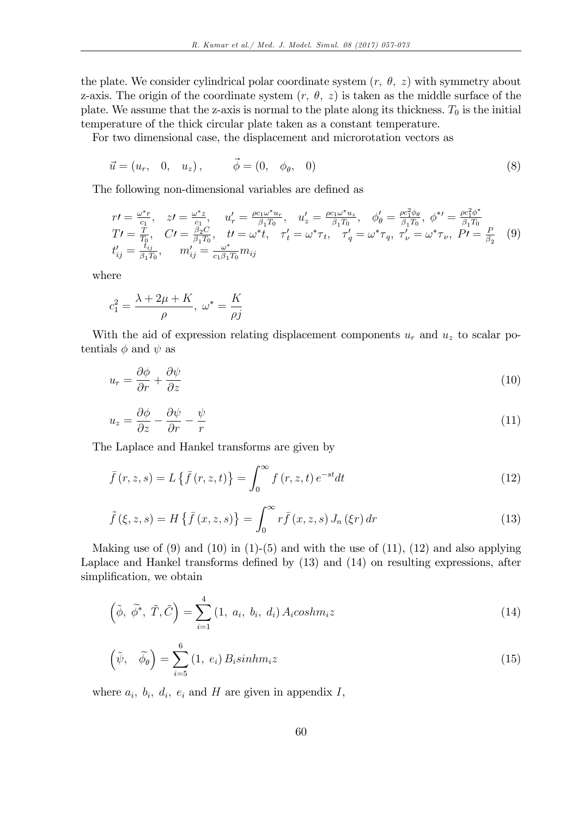the plate. We consider cylindrical polar coordinate system  $(r, \theta, z)$  with symmetry about z-axis. The origin of the coordinate system  $(r, \theta, z)$  is taken as the middle surface of the plate. We assume that the z-axis is normal to the plate along its thickness.  $T_0$  is the initial temperature of the thick circular plate taken as a constant temperature.

For two dimensional case, the displacement and microrotation vectors as

$$
\vec{u} = (u_r, 0, u_z), \qquad \vec{\phi} = (0, \phi_\theta, 0) \tag{8}
$$

The following non-dimensional variables are defined as

$$
r\prime = \frac{\omega^* r}{c_1}, \quad z\prime = \frac{\omega^* z}{c_1}, \quad u'_r = \frac{\rho c_1 \omega^* u_r}{\beta_1 T_0}, \quad u'_z = \frac{\rho c_1 \omega^* u_z}{\beta_1 T_0}, \quad \phi'_\theta = \frac{\rho c_1^2 \phi_\theta}{\beta_1 T_0}, \quad \phi^{*\prime} = \frac{\rho c_1^2 \phi^*}{\beta_1 T_0}
$$
  
\n
$$
T\prime = \frac{T}{T_0}, \quad C\prime = \frac{\beta_2 C}{\beta_1 T_0}, \quad t\prime = \omega^* t, \quad \tau'_t = \omega^* \tau_t, \quad \tau'_q = \omega^* \tau_q, \quad \tau'_\nu = \omega^* \tau_\nu, \quad P\prime = \frac{P}{\beta_2} \quad (9)
$$
  
\n
$$
t'_{ij} = \frac{t_{ij}}{\beta_1 T_0}, \quad m'_{ij} = \frac{\omega^*}{c_1 \beta_1 T_0} m_{ij}
$$

where

$$
c_1^2 = \frac{\lambda + 2\mu + K}{\rho}, \ \omega^* = \frac{K}{\rho j}
$$

With the aid of expression relating displacement components  $u_r$  and  $u_z$  to scalar potentials  $\phi$  and  $\psi$  as

$$
u_r = \frac{\partial \phi}{\partial r} + \frac{\partial \psi}{\partial z} \tag{10}
$$

$$
u_z = \frac{\partial \phi}{\partial z} - \frac{\partial \psi}{\partial r} - \frac{\psi}{r}
$$
\n<sup>(11)</sup>

The Laplace and Hankel transforms are given by

$$
\bar{f}(r,z,s) = L\left\{\bar{f}(r,z,t)\right\} = \int_0^\infty f(r,z,t) e^{-st} dt \tag{12}
$$

$$
\tilde{f}\left(\xi,z,s\right) = H\left\{\bar{f}\left(x,z,s\right)\right\} = \int_0^\infty r\bar{f}\left(x,z,s\right)J_n\left(\xi r\right)dr\tag{13}
$$

Making use of  $(9)$  and  $(10)$  in  $(1)-(5)$  and with the use of  $(11)$ ,  $(12)$  and also applying Laplace and Hankel transforms defined by  $(13)$  and  $(14)$  on resulting expressions, after simplification, we obtain

$$
\left(\tilde{\phi}, \tilde{\phi}^*, \tilde{T}, \tilde{C}\right) = \sum_{i=1}^4 \left(1, a_i, b_i, d_i\right) A_i \cosh m_i z \tag{14}
$$

$$
\left(\tilde{\psi}, \quad \tilde{\phi}_{\theta}\right) = \sum_{i=5}^{6} (1, e_i) B_i \sin h m_i z \tag{15}
$$

where  $a_i$ ,  $b_i$ ,  $d_i$ ,  $e_i$  and H are given in appendix I,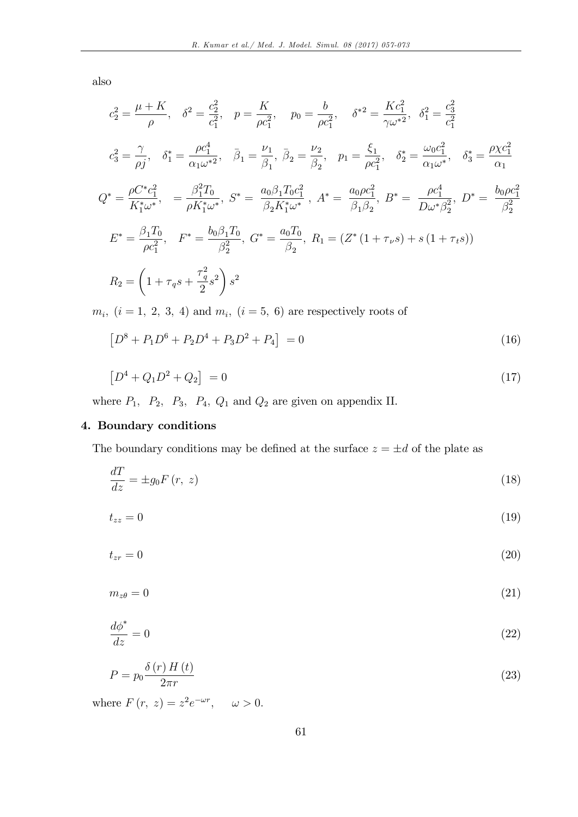also

$$
c_2^2 = \frac{\mu + K}{\rho}, \quad \delta^2 = \frac{c_2^2}{c_1^2}, \quad p = \frac{K}{\rho c_1^2}, \quad p_0 = \frac{b}{\rho c_1^2}, \quad \delta^{*2} = \frac{Kc_1^2}{\gamma \omega^{*2}}, \quad \delta_1^2 = \frac{c_3^2}{c_1^2}
$$
  
\n
$$
c_3^2 = \frac{\gamma}{\rho j}, \quad \delta_1^* = \frac{\rho c_1^4}{\alpha_1 \omega^{*2}}, \quad \bar{\beta}_1 = \frac{\nu_1}{\beta_1}, \quad \bar{\beta}_2 = \frac{\nu_2}{\beta_2}, \quad p_1 = \frac{\xi_1}{\rho c_1^2}, \quad \delta_2^* = \frac{\omega_0 c_1^2}{\alpha_1 \omega^*}, \quad \delta_3^* = \frac{\rho \chi c_1^2}{\alpha_1}
$$
  
\n
$$
Q^* = \frac{\rho C^* c_1^2}{K_1^* \omega^*}, \quad = \frac{\beta_1^2 T_0}{\rho K_1^* \omega^*}, \quad S^* = \frac{a_0 \beta_1 T_0 c_1^2}{\beta_2 K_1^* \omega^*}, \quad A^* = \frac{a_0 \rho c_1^2}{\beta_1 \beta_2}, \quad B^* = \frac{\rho c_1^4}{D \omega^* \beta_2^2}, \quad D^* = \frac{b_0 \rho c_1^2}{\beta_2^2}
$$
  
\n
$$
E^* = \frac{\beta_1 T_0}{\rho c_1^2}, \quad F^* = \frac{b_0 \beta_1 T_0}{\beta_2^2}, \quad G^* = \frac{a_0 T_0}{\beta_2}, \quad R_1 = (Z^* \left(1 + \tau_{\nu} s\right) + s \left(1 + \tau_{\nu} s\right))
$$
  
\n
$$
R_2 = \left(1 + \tau_q s + \frac{\tau_q^2}{2} s^2\right) s^2
$$

 $m_i$ ,  $(i = 1, 2, 3, 4)$  and  $m_i$ ,  $(i = 5, 6)$  are respectively roots of

$$
[D^8 + P_1 D^6 + P_2 D^4 + P_3 D^2 + P_4] = 0 \tag{16}
$$

$$
[D^4 + Q_1 D^2 + Q_2] = 0 \tag{17}
$$

where  $P_1$ ,  $P_2$ ,  $P_3$ ,  $P_4$ ,  $Q_1$  and  $Q_2$  are given on appendix II.

## 4. Boundary conditions

The boundary conditions may be defined at the surface  $z = \pm d$  of the plate as

$$
\frac{dT}{dz} = \pm g_0 F(r, z) \tag{18}
$$

$$
t_{zz} = 0 \tag{19}
$$

$$
t_{zr} = 0 \tag{20}
$$

$$
m_{z\theta} = 0 \tag{21}
$$

$$
\frac{d\phi^*}{dz} = 0\tag{22}
$$

$$
P = p_0 \frac{\delta(r) H(t)}{2\pi r} \tag{23}
$$

where  $F(r, z) = z^2 e^{-\omega r}, \quad \omega > 0.$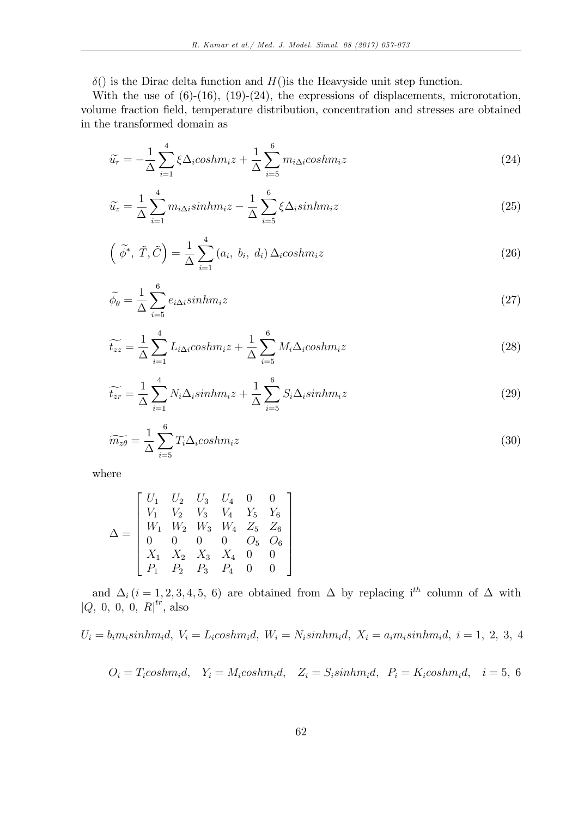$\delta()$  is the Dirac delta function and  $H()$  is the Heavyside unit step function.

With the use of  $(6)-(16)$ ,  $(19)-(24)$ , the expressions of displacements, microrotation, volume fraction field, temperature distribution, concentration and stresses are obtained in the transformed domain as

$$
\widetilde{u_r} = -\frac{1}{\Delta} \sum_{i=1}^{4} \xi \Delta_i \cosh m_i z + \frac{1}{\Delta} \sum_{i=5}^{6} m_{i\Delta i} \cosh m_i z \tag{24}
$$

$$
\widetilde{u}_z = \frac{1}{\Delta} \sum_{i=1}^4 m_{i\Delta i} sinh m_i z - \frac{1}{\Delta} \sum_{i=5}^6 \xi \Delta_i sinh m_i z \tag{25}
$$

$$
\left(\tilde{\phi}^*, \tilde{T}, \tilde{C}\right) = \frac{1}{\Delta} \sum_{i=1}^4 \left(a_i, b_i, d_i\right) \Delta_i \cosh m_i z \tag{26}
$$

$$
\widetilde{\phi}_{\theta} = \frac{1}{\Delta} \sum_{i=5}^{6} e_{i\Delta i} sinh m_i z \tag{27}
$$

$$
\widetilde{t_{zz}} = \frac{1}{\Delta} \sum_{i=1}^{4} L_{i\Delta i} \cosh m_i z + \frac{1}{\Delta} \sum_{i=5}^{6} M_i \Delta_i \cosh m_i z \tag{28}
$$

$$
\widetilde{t_{zr}} = \frac{1}{\Delta} \sum_{i=1}^{4} N_i \Delta_i \sinh m_i z + \frac{1}{\Delta} \sum_{i=5}^{6} S_i \Delta_i \sinh m_i z \tag{29}
$$

$$
\widetilde{m_{z\theta}} = \frac{1}{\Delta} \sum_{i=5}^{6} T_i \Delta_i \cosh m_i z \tag{30}
$$

where

$$
\Delta = \begin{bmatrix} U_1 & U_2 & U_3 & U_4 & 0 & 0 \\ V_1 & V_2 & V_3 & V_4 & Y_5 & Y_6 \\ W_1 & W_2 & W_3 & W_4 & Z_5 & Z_6 \\ 0 & 0 & 0 & 0 & O_5 & O_6 \\ X_1 & X_2 & X_3 & X_4 & 0 & 0 \\ P_1 & P_2 & P_3 & P_4 & 0 & 0 \end{bmatrix}
$$

and  $\Delta_i$  (i = 1, 2, 3, 4, 5, 6) are obtained from  $\Delta$  by replacing i<sup>th</sup> column of  $\Delta$  with  $|Q, 0, 0, 0, R|^{tr}$ , also

$$
U_i = b_i m_i sinh m_i d, V_i = L_i cosh m_i d, W_i = N_i sinh m_i d, X_i = a_i m_i sinh m_i d, i = 1, 2, 3, 4
$$

$$
O_i = T_i \ncosh m_i d, \quad Y_i = M_i \ncosh m_i d, \quad Z_i = S_i \sin h m_i d, \quad P_i = K_i \ncosh m_i d, \quad i = 5, 6
$$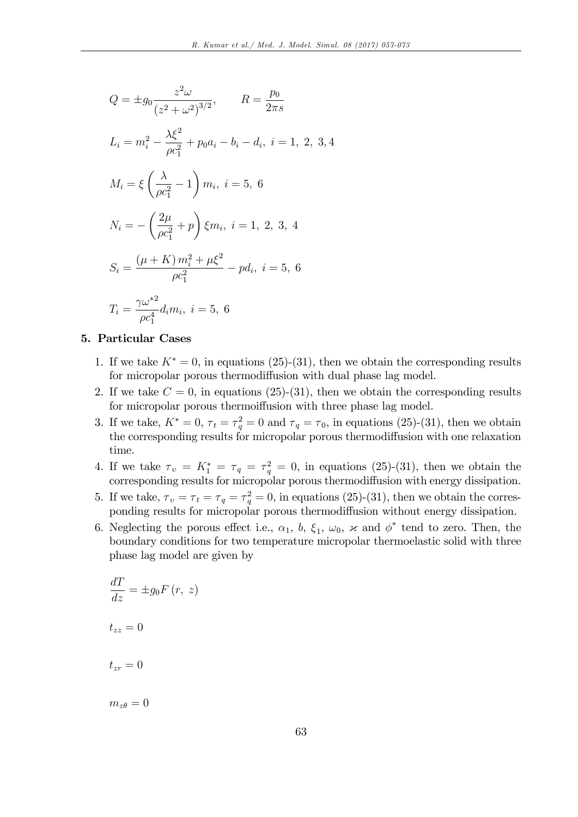$$
Q = \pm g_0 \frac{z^2 \omega}{(z^2 + \omega^2)^{3/2}}, \qquad R = \frac{p_0}{2\pi s}
$$
  
\n
$$
L_i = m_i^2 - \frac{\lambda \xi^2}{\rho c_1^2} + p_0 a_i - b_i - d_i, \ i = 1, 2, 3, 4
$$
  
\n
$$
M_i = \xi \left(\frac{\lambda}{\rho c_1^2} - 1\right) m_i, \ i = 5, 6
$$
  
\n
$$
N_i = -\left(\frac{2\mu}{\rho c_1^2} + p\right) \xi m_i, \ i = 1, 2, 3, 4
$$
  
\n
$$
S_i = \frac{(\mu + K) m_i^2 + \mu \xi^2}{\rho c_1^2} - p d_i, \ i = 5, 6
$$
  
\n
$$
T_i = \frac{\gamma \omega^{*2}}{\rho c_1^4} d_i m_i, \ i = 5, 6
$$

## 5. Particular Cases

- 1. If we take  $K^* = 0$ , in equations (25)-(31), then we obtain the corresponding results for micropolar porous thermodiffusion with dual phase lag model.
- 2. If we take  $C = 0$ , in equations (25)-(31), then we obtain the corresponding results for micropolar porous thermoiffusion with three phase lag model.
- 3. If we take,  $K^* = 0$ ,  $\tau_t = \tau_q^2 = 0$  and  $\tau_q = \tau_0$ , in equations (25)-(31), then we obtain the corresponding results for micropolar porous thermodiffusion with one relaxation time.
- 4. If we take  $\tau_v = K_1^* = \tau_q = \tau_q^2 = 0$ , in equations (25)-(31), then we obtain the corresponding results for micropolar porous thermodiffusion with energy dissipation.
- 5. If we take,  $\tau_v = \tau_t = \tau_q = \tau_q^2 = 0$ , in equations (25)-(31), then we obtain the corresponding results for micropolar porous thermodiffusion without energy dissipation.
- 6. Neglecting the porous effect i.e.,  $\alpha_1$ ,  $b$ ,  $\xi_1$ ,  $\omega_0$ ,  $\varkappa$  and  $\phi^*$  tend to zero. Then, the boundary conditions for two temperature micropolar thermoelastic solid with three phase lag model are given by

$$
\frac{dT}{dz} = \pm g_0 F(r, z)
$$
  

$$
t_{zz} = 0
$$
  

$$
t_{zr} = 0
$$

 $m_{z\theta} = 0$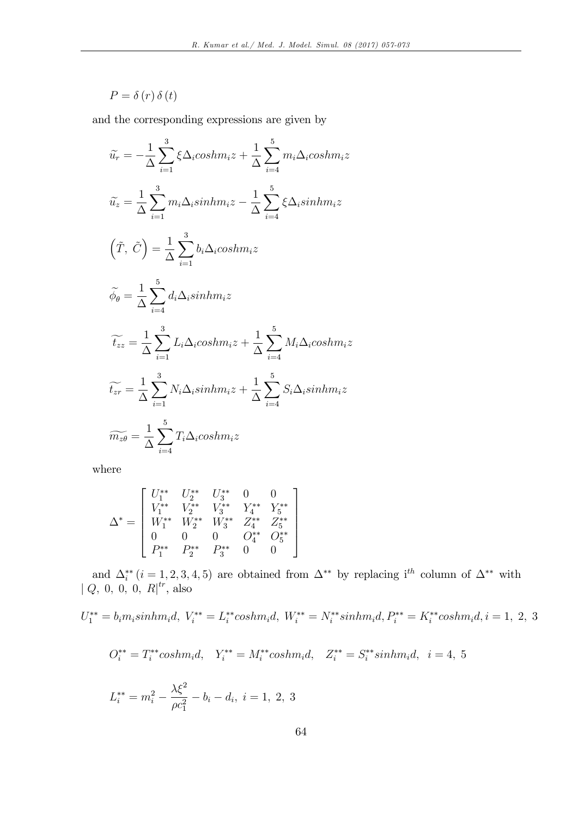$$
P = \delta(r) \,\delta(t)
$$

and the corresponding expressions are given by

$$
\widetilde{u_r} = -\frac{1}{\Delta} \sum_{i=1}^{3} \xi \Delta_i \cosh m_i z + \frac{1}{\Delta} \sum_{i=4}^{5} m_i \Delta_i \cosh m_i z
$$
\n
$$
\widetilde{u_z} = \frac{1}{\Delta} \sum_{i=1}^{3} m_i \Delta_i \sinh m_i z - \frac{1}{\Delta} \sum_{i=4}^{5} \xi \Delta_i \sinh m_i z
$$
\n
$$
\left(\widetilde{T}, \widetilde{C}\right) = \frac{1}{\Delta} \sum_{i=1}^{3} b_i \Delta_i \cosh m_i z
$$
\n
$$
\widetilde{\phi_\theta} = \frac{1}{\Delta} \sum_{i=4}^{5} d_i \Delta_i \sinh m_i z
$$
\n
$$
\widetilde{t_{zz}} = \frac{1}{\Delta} \sum_{i=1}^{3} L_i \Delta_i \cosh m_i z + \frac{1}{\Delta} \sum_{i=4}^{5} M_i \Delta_i \cosh m_i z
$$
\n
$$
\widetilde{t_{zr}} = \frac{1}{\Delta} \sum_{i=1}^{3} N_i \Delta_i \sinh m_i z + \frac{1}{\Delta} \sum_{i=4}^{5} S_i \Delta_i \sinh m_i z
$$
\n
$$
\widetilde{m_{z\theta}} = \frac{1}{\Delta} \sum_{i=4}^{5} T_i \Delta_i \cosh m_i z
$$

where

$$
\Delta^* = \left[ \begin{array}{cccc} U_1^{**} & U_2^{**} & U_3^{**} & 0 & 0 \\ V_1^{**} & V_2^{**} & V_3^{**} & Y_4^{**} & Y_5^{**} \\ W_1^{**} & W_2^{**} & W_3^{**} & Z_4^{**} & Z_5^{**} \\ 0 & 0 & 0 & O_4^{**} & O_5^{**} \\ P_1^{**} & P_2^{**} & P_3^{**} & 0 & 0 \end{array} \right]
$$

and  $\Delta_i^{**}$   $(i = 1, 2, 3, 4, 5)$  are obtained from  $\Delta^{**}$  by replacing i<sup>th</sup> column of  $\Delta^{**}$  with  $| Q, 0, 0, 0, R |^{tr}$ , also

$$
U_1^{**} = b_i m_i sinh m_i d, \ V_i^{**} = L_i^{**} cosh m_i d, \ W_i^{**} = N_i^{**} sinh m_i d, P_i^{**} = K_i^{**} cosh m_i d, i = 1, 2, 3
$$

$$
O_i^{**}=T_i^{**}cosh m_id,\quad Y_i^{**}=M_i^{**}cosh m_id,\quad Z_i^{**}=S_i^{**}sinhm_id,\quad i=4,\ 5
$$

$$
L_i^{**} = m_i^2 - \frac{\lambda \xi^2}{\rho c_1^2} - b_i - d_i, \ i = 1, 2, 3
$$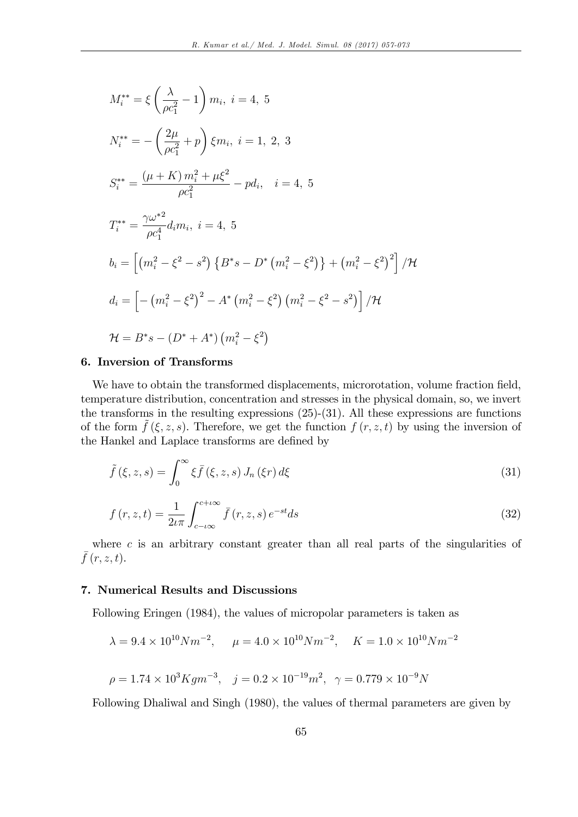$$
M_{i}^{**} = \xi \left(\frac{\lambda}{\rho c_{1}^{2}} - 1\right) m_{i}, i = 4, 5
$$
  
\n
$$
N_{i}^{**} = -\left(\frac{2\mu}{\rho c_{1}^{2}} + p\right) \xi m_{i}, i = 1, 2, 3
$$
  
\n
$$
S_{i}^{**} = \frac{(\mu + K) m_{i}^{2} + \mu \xi^{2}}{\rho c_{1}^{2}} - pd_{i}, i = 4, 5
$$
  
\n
$$
T_{i}^{**} = \frac{\gamma \omega^{*2}}{\rho c_{1}^{4}} d_{i} m_{i}, i = 4, 5
$$
  
\n
$$
b_{i} = \left[\left(m_{i}^{2} - \xi^{2} - s^{2}\right) \{B^{*} s - D^{*} \left(m_{i}^{2} - \xi^{2}\right)\} + \left(m_{i}^{2} - \xi^{2}\right)^{2}\right] / \mathcal{H}
$$
  
\n
$$
d_{i} = \left[-\left(m_{i}^{2} - \xi^{2}\right)^{2} - A^{*} \left(m_{i}^{2} - \xi^{2}\right) \left(m_{i}^{2} - \xi^{2} - s^{2}\right)\right] / \mathcal{H}
$$
  
\n
$$
\mathcal{H} = B^{*} s - (D^{*} + A^{*}) \left(m_{i}^{2} - \xi^{2}\right)
$$

### 6. Inversion of Transforms

We have to obtain the transformed displacements, microrotation, volume fraction field, temperature distribution, concentration and stresses in the physical domain, so, we invert the transforms in the resulting expressions  $(25)-(31)$ . All these expressions are functions of the form  $\tilde{f}(\xi, z, s)$ . Therefore, we get the function  $f(r, z, t)$  by using the inversion of the Hankel and Laplace transforms are defined by

$$
\tilde{f}(\xi, z, s) = \int_0^\infty \xi \bar{f}(\xi, z, s) J_n(\xi r) d\xi
$$
\n(31)

$$
f(r,z,t) = \frac{1}{2\iota\pi} \int_{c-\iota\infty}^{c+\iota\infty} \bar{f}(r,z,s) e^{-st} ds
$$
\n(32)

where  $c$  is an arbitrary constant greater than all real parts of the singularities of  $\bar{f}(r, z, t)$ .

## 7. Numerical Results and Discussions

Following Eringen (1984), the values of micropolar parameters is taken as

$$
\lambda = 9.4 \times 10^{10} N m^{-2}
$$
,  $\mu = 4.0 \times 10^{10} N m^{-2}$ ,  $K = 1.0 \times 10^{10} N m^{-2}$   
 $\rho = 1.74 \times 10^3 K g m^{-3}$ ,  $j = 0.2 \times 10^{-19} m^2$ ,  $\gamma = 0.779 \times 10^{-9} N$ 

Following Dhaliwal and Singh (1980), the values of thermal parameters are given by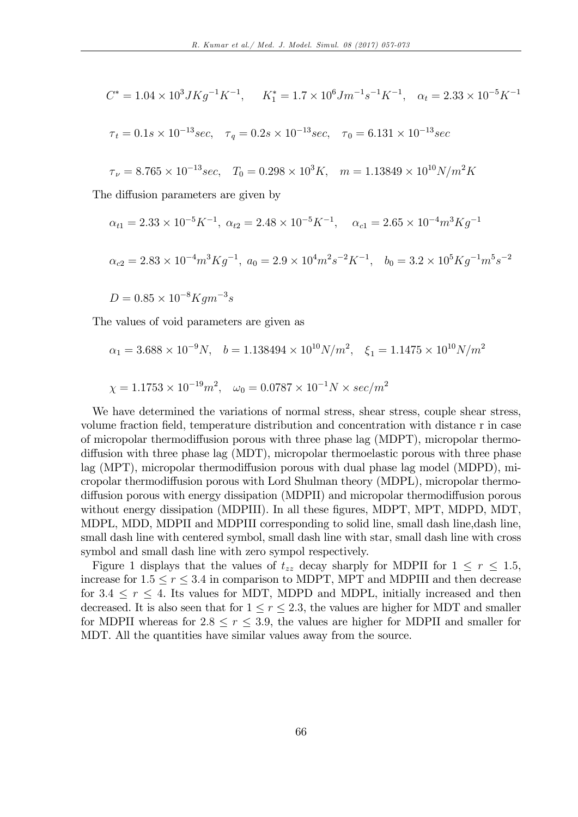$$
C^* = 1.04 \times 10^3 J K g^{-1} K^{-1}, \quad K_1^* = 1.7 \times 10^6 J m^{-1} s^{-1} K^{-1}, \quad \alpha_t = 2.33 \times 10^{-5} K^{-1}
$$

$$
\tau_t = 0.1s \times 10^{-13} sec
$$
,  $\tau_q = 0.2s \times 10^{-13} sec$ ,  $\tau_0 = 6.131 \times 10^{-13} sec$ 

$$
\tau_{\nu} = 8.765 \times 10^{-13} sec, \quad T_0 = 0.298 \times 10^3 K, \quad m = 1.13849 \times 10^{10} N/m^2 K
$$

The diffusion parameters are given by

$$
\alpha_{t1} = 2.33 \times 10^{-5} K^{-1}
$$
,  $\alpha_{t2} = 2.48 \times 10^{-5} K^{-1}$ ,  $\alpha_{c1} = 2.65 \times 10^{-4} m^3 K g^{-1}$   
\n $\alpha_{c2} = 2.83 \times 10^{-4} m^3 K g^{-1}$ ,  $a_0 = 2.9 \times 10^4 m^2 s^{-2} K^{-1}$ ,  $b_0 = 3.2 \times 10^5 K g^{-1} m^5 s^{-2}$ 

$$
D = 0.85 \times 10^{-8} K g m^{-3} s
$$

The values of void parameters are given as

$$
\alpha_1 = 3.688 \times 10^{-9} N
$$
,  $b = 1.138494 \times 10^{10} N/m^2$ ,  $\xi_1 = 1.1475 \times 10^{10} N/m^2$ 

$$
\chi = 1.1753 \times 10^{-19} m^2
$$
,  $\omega_0 = 0.0787 \times 10^{-1} N \times sec/m^2$ 

We have determined the variations of normal stress, shear stress, couple shear stress, volume fraction Öeld, temperature distribution and concentration with distance r in case of micropolar thermodiffusion porous with three phase lag (MDPT), micropolar thermodiffusion with three phase lag  $(MDT)$ , micropolar thermoelastic porous with three phase lag (MPT), micropolar thermodiffusion porous with dual phase lag model (MDPD), micropolar thermodiffusion porous with Lord Shulman theory (MDPL), micropolar thermodiffusion porous with energy dissipation (MDPII) and micropolar thermodiffusion porous without energy dissipation (MDPIII). In all these figures, MDPT, MPT, MDPD, MDT, MDPL, MDD, MDPII and MDPIII corresponding to solid line, small dash line, dash line, small dash line with centered symbol, small dash line with star, small dash line with cross symbol and small dash line with zero sympol respectively.

Figure 1 displays that the values of  $t_{zz}$  decay sharply for MDPII for  $1 \leq r \leq 1.5$ , increase for  $1.5 \le r \le 3.4$  in comparison to MDPT, MPT and MDPIII and then decrease for  $3.4 \leq r \leq 4$ . Its values for MDT, MDPD and MDPL, initially increased and then decreased. It is also seen that for  $1 \le r \le 2.3$ , the values are higher for MDT and smaller for MDPII whereas for  $2.8 \le r \le 3.9$ , the values are higher for MDPII and smaller for MDT. All the quantities have similar values away from the source.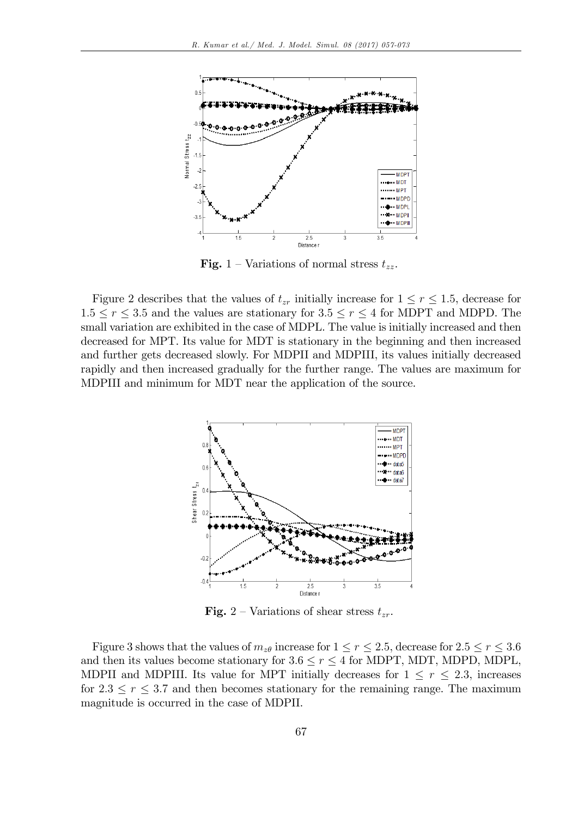

**Fig.** 1 – Variations of normal stress  $t_{zz}$ .

Figure 2 describes that the values of  $t_{zr}$  initially increase for  $1 \leq r \leq 1.5$ , decrease for  $1.5 \le r \le 3.5$  and the values are stationary for  $3.5 \le r \le 4$  for MDPT and MDPD. The small variation are exhibited in the case of MDPL. The value is initially increased and then decreased for MPT. Its value for MDT is stationary in the beginning and then increased and further gets decreased slowly. For MDPII and MDPIII, its values initially decreased rapidly and then increased gradually for the further range. The values are maximum for MDPIII and minimum for MDT near the application of the source.



**Fig.** 2 – Variations of shear stress  $t_{zr}$ .

Figure 3 shows that the values of  $m_{z\theta}$  increase for  $1 \le r \le 2.5$ , decrease for  $2.5 \le r \le 3.6$ and then its values become stationary for  $3.6 \le r \le 4$  for MDPT, MDT, MDPD, MDPL, MDPII and MDPIII. Its value for MPT initially decreases for  $1 \leq r \leq 2.3$ , increases for  $2.3 \le r \le 3.7$  and then becomes stationary for the remaining range. The maximum magnitude is occurred in the case of MDPII.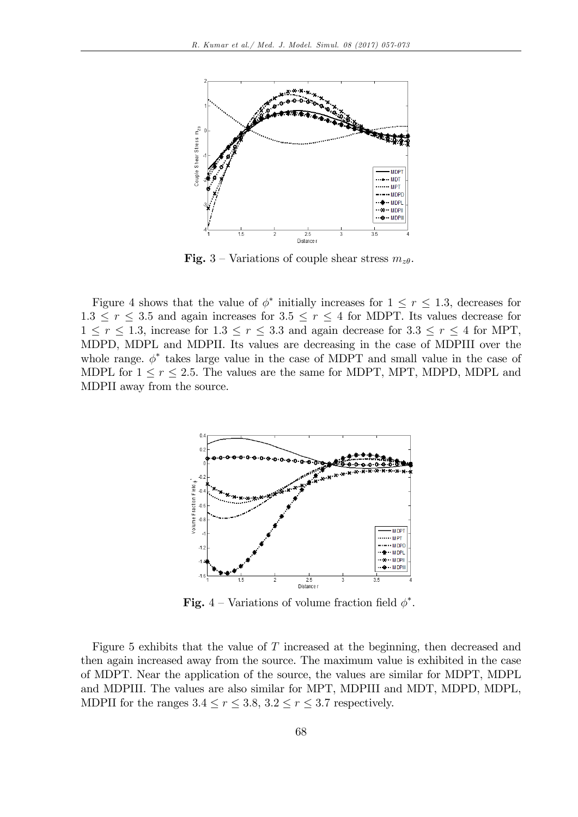

**Fig.** 3 – Variations of couple shear stress  $m_{z\theta}$ .

Figure 4 shows that the value of  $\phi^*$  initially increases for  $1 \leq r \leq 1.3$ , decreases for  $1.3 \le r \le 3.5$  and again increases for  $3.5 \le r \le 4$  for MDPT. Its values decrease for  $1 \leq r \leq 1.3$ , increase for  $1.3 \leq r \leq 3.3$  and again decrease for  $3.3 \leq r \leq 4$  for MPT, MDPD, MDPL and MDPII. Its values are decreasing in the case of MDPIII over the whole range.  $\phi^*$  takes large value in the case of MDPT and small value in the case of MDPL for  $1 \le r \le 2.5$ . The values are the same for MDPT, MPT, MDPD, MDPL and MDPII away from the source.



**Fig.** 4 – Variations of volume fraction field  $\phi^*$ .

Figure 5 exhibits that the value of T increased at the beginning, then decreased and then again increased away from the source. The maximum value is exhibited in the case of MDPT. Near the application of the source, the values are similar for MDPT, MDPL and MDPIII. The values are also similar for MPT, MDPIII and MDT, MDPD, MDPL, MDPII for the ranges  $3.4 \le r \le 3.8$ ,  $3.2 \le r \le 3.7$  respectively.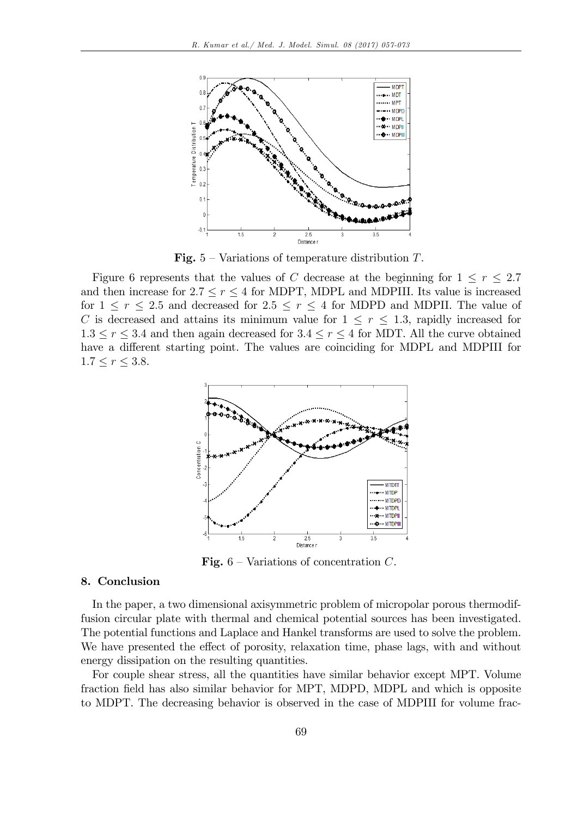

**Fig.**  $5$  – Variations of temperature distribution T.

Figure 6 represents that the values of C decrease at the beginning for  $1 \leq r \leq 2.7$ and then increase for  $2.7 \le r \le 4$  for MDPT, MDPL and MDPIII. Its value is increased for  $1 \le r \le 2.5$  and decreased for  $2.5 \le r \le 4$  for MDPD and MDPII. The value of C is decreased and attains its minimum value for  $1 \leq r \leq 1.3$ , rapidly increased for  $1.3 \le r \le 3.4$  and then again decreased for  $3.4 \le r \le 4$  for MDT. All the curve obtained have a different starting point. The values are coinciding for MDPL and MDPIII for  $1.7 \le r \le 3.8.$ 



**Fig.**  $6$  – Variations of concentration C.

## 8. Conclusion

In the paper, a two dimensional axisymmetric problem of micropolar porous thermodiffusion circular plate with thermal and chemical potential sources has been investigated. The potential functions and Laplace and Hankel transforms are used to solve the problem. We have presented the effect of porosity, relaxation time, phase lags, with and without energy dissipation on the resulting quantities.

For couple shear stress, all the quantities have similar behavior except MPT. Volume fraction field has also similar behavior for MPT, MDPD, MDPL and which is opposite to MDPT. The decreasing behavior is observed in the case of MDPIII for volume frac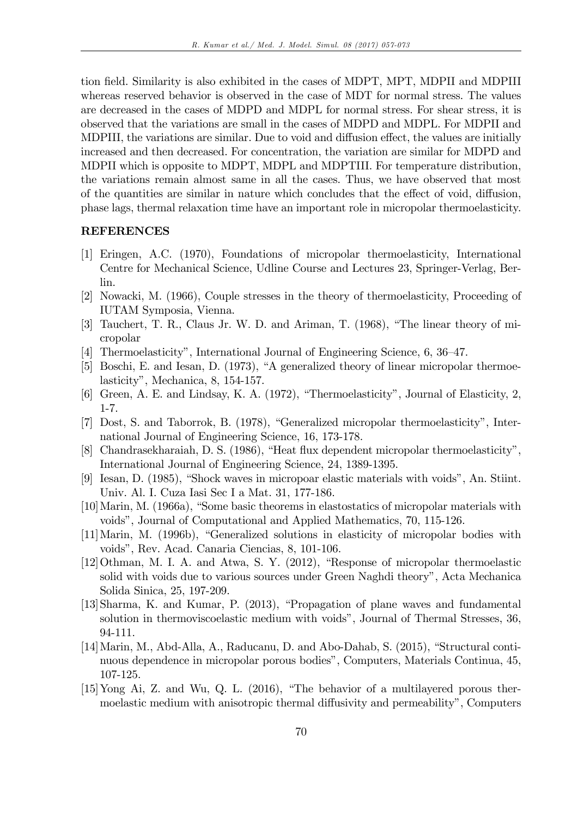tion field. Similarity is also exhibited in the cases of MDPT, MPT, MDPII and MDPIII whereas reserved behavior is observed in the case of MDT for normal stress. The values are decreased in the cases of MDPD and MDPL for normal stress. For shear stress, it is observed that the variations are small in the cases of MDPD and MDPL. For MDPII and MDPIII, the variations are similar. Due to void and diffusion effect, the values are initially increased and then decreased. For concentration, the variation are similar for MDPD and MDPII which is opposite to MDPT, MDPL and MDPTIII. For temperature distribution, the variations remain almost same in all the cases. Thus, we have observed that most of the quantities are similar in nature which concludes that the effect of void, diffusion, phase lags, thermal relaxation time have an important role in micropolar thermoelasticity.

### REFERENCES

- [1] Eringen, A.C. (1970), Foundations of micropolar thermoelasticity, International Centre for Mechanical Science, Udline Course and Lectures 23, Springer-Verlag, Berlin.
- [2] Nowacki, M. (1966), Couple stresses in the theory of thermoelasticity, Proceeding of IUTAM Symposia, Vienna.
- [3] Tauchert, T. R., Claus Jr. W. D. and Ariman, T.  $(1968)$ , "The linear theory of micropolar
- [4] Thermoelasticity", International Journal of Engineering Science,  $6, 36-47$ .
- $[5]$  Boschi, E. and Iesan, D. (1973), "A generalized theory of linear micropolar thermoelasticity", Mechanica, 8, 154-157.
- [6] Green, A. E. and Lindsay, K. A.  $(1972)$ , "Thermoelasticity", Journal of Elasticity, 2, 1-7.
- [7] Dost, S. and Taborrok, B. (1978), "Generalized micropolar thermoelasticity", International Journal of Engineering Science, 16, 173-178.
- [8] Chandrasekharaiah, D. S. (1986), "Heat flux dependent micropolar thermoelasticity", International Journal of Engineering Science, 24, 1389-1395.
- [9] Iesan, D. (1985), "Shock waves in micropoar elastic materials with voids", An. Stiint. Univ. Al. I. Cuza Iasi Sec I a Mat. 31, 177-186.
- $[10]$ Marin, M.  $(1966a)$ , "Some basic theorems in elastostatics of micropolar materials with voidsî, Journal of Computational and Applied Mathematics, 70, 115-126.
- [11] Marin, M. (1996b), "Generalized solutions in elasticity of micropolar bodies with voidsî, Rev. Acad. Canaria Ciencias, 8, 101-106.
- $[12]$ Othman, M. I. A. and Atwa, S. Y.  $(2012)$ , "Response of micropolar thermoelastic solid with voids due to various sources under Green Naghdi theory", Acta Mechanica Solida Sinica, 25, 197-209.
- [13]Sharma, K. and Kumar, P. (2013), "Propagation of plane waves and fundamental solution in thermoviscoelastic medium with voids", Journal of Thermal Stresses, 36, 94-111.
- $[14]$ Marin, M., Abd-Alla, A., Raducanu, D. and Abo-Dahab, S. (2015), "Structural continuous dependence in micropolar porous bodiesî, Computers, Materials Continua, 45, 107-125.
- $[15]$ Yong Ai, Z. and Wu, Q. L.  $(2016)$ , "The behavior of a multilayered porous thermoelastic medium with anisotropic thermal diffusivity and permeability", Computers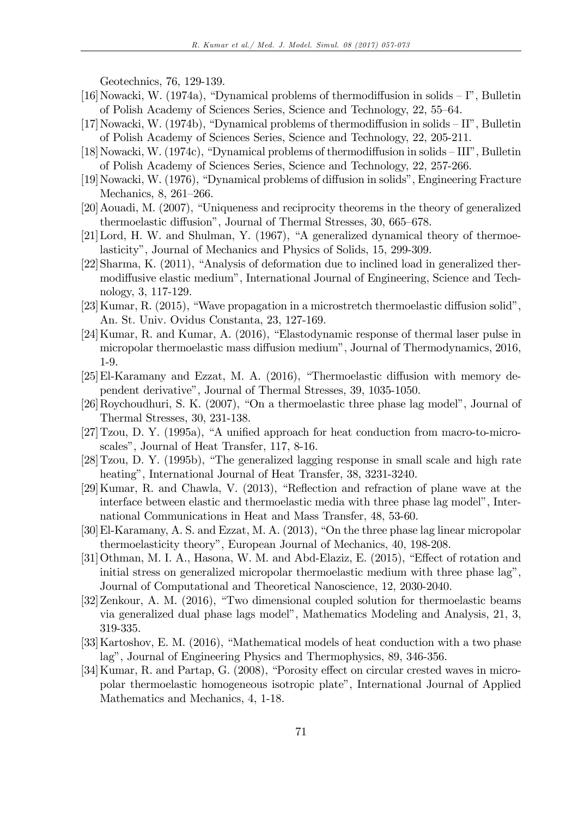Geotechnics, 76, 129-139.

- [16] Nowacki, W. (1974a), "Dynamical problems of thermodiffusion in solids  $-I$ ", Bulletin of Polish Academy of Sciences Series, Science and Technology, 22, 55–64.
- [17] Nowacki, W. (1974b), "Dynamical problems of thermodiffusion in solids  $-II$ ", Bulletin of Polish Academy of Sciences Series, Science and Technology, 22, 205-211.
- $[18]$ Nowacki, W. (1974c), "Dynamical problems of thermodiffusion in solids  $-III$ ", Bulletin of Polish Academy of Sciences Series, Science and Technology, 22, 257-266.
- [19] Nowacki, W. (1976), "Dynamical problems of diffusion in solids", Engineering Fracture Mechanics,  $8, 261-266$ .
- [20] Aouadi, M. (2007), "Uniqueness and reciprocity theorems in the theory of generalized thermoelastic diffusion", Journal of Thermal Stresses, 30, 665–678.
- $[21]$ Lord, H. W. and Shulman, Y. (1967), "A generalized dynamical theory of thermoelasticity", Journal of Mechanics and Physics of Solids, 15, 299-309.
- $[22]$ Sharma, K.  $(2011)$ , "Analysis of deformation due to inclined load in generalized thermodiffusive elastic medium", International Journal of Engineering, Science and Technology, 3, 117-129.
- [23] Kumar, R. (2015), "Wave propagation in a microstretch thermoelastic diffusion solid", An. St. Univ. Ovidus Constanta, 23, 127-169.
- $[24]$ Kumar, R. and Kumar, A.  $(2016)$ , "Elastodynamic response of thermal laser pulse in micropolar thermoelastic mass diffusion medium", Journal of Thermodynamics, 2016, 1-9.
- $[25]$ El-Karamany and Ezzat, M. A.  $(2016)$ , "Thermoelastic diffusion with memory dependent derivativeî, Journal of Thermal Stresses, 39, 1035-1050.
- $[26]$ Roychoudhuri, S. K.  $(2007)$ , "On a thermoelastic three phase lag model", Journal of Thermal Stresses, 30, 231-138.
- $[27]$ Tzou, D. Y. (1995a), "A unified approach for heat conduction from macro-to-microscales", Journal of Heat Transfer, 117, 8-16.
- $[28]$ Tzou, D. Y. (1995b), "The generalized lagging response in small scale and high rate heating", International Journal of Heat Transfer, 38, 3231-3240.
- $[29]$ Kumar, R. and Chawla, V.  $(2013)$ , "Reflection and refraction of plane wave at the interface between elastic and thermoelastic media with three phase lag model", International Communications in Heat and Mass Transfer, 48, 53-60.
- $[30]$ El-Karamany, A. S. and Ezzat, M. A.  $(2013)$ , "On the three phase lag linear micropolar thermoelasticity theoryî, European Journal of Mechanics, 40, 198-208.
- $[31]$ Othman, M. I. A., Hasona, W. M. and Abd-Elaziz, E.  $(2015)$ , "Effect of rotation and initial stress on generalized micropolar thermoelastic medium with three phase lag", Journal of Computational and Theoretical Nanoscience, 12, 2030-2040.
- $[32]$ Zenkour, A. M.  $(2016)$ , "Two dimensional coupled solution for thermoelastic beams via generalized dual phase lags modelî, Mathematics Modeling and Analysis, 21, 3, 319-335.
- [33] Kartoshov, E. M.  $(2016)$ , "Mathematical models of heat conduction with a two phase lag", Journal of Engineering Physics and Thermophysics, 89, 346-356.
- [34] Kumar, R. and Partap, G. (2008), "Porosity effect on circular crested waves in micropolar thermoelastic homogeneous isotropic plateî, International Journal of Applied Mathematics and Mechanics, 4, 1-18.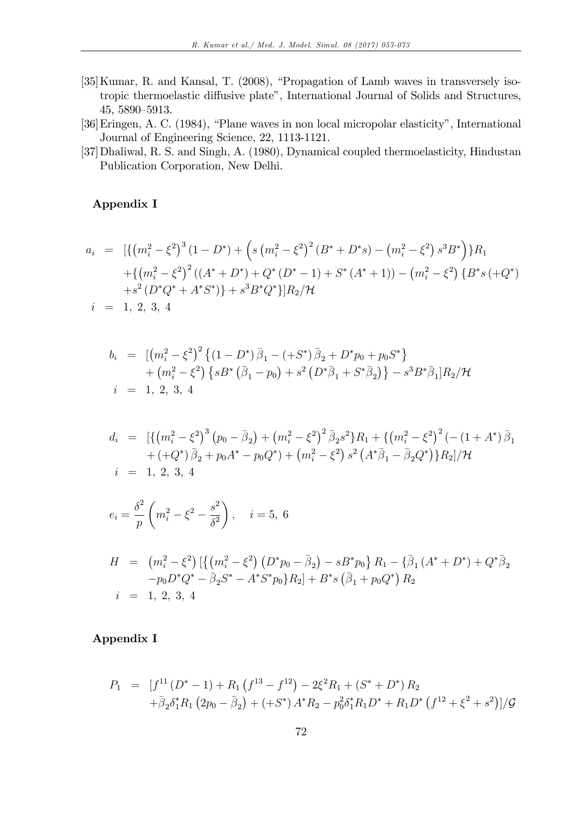- $[35]$ Kumar, R. and Kansal, T.  $(2008)$ , "Propagation of Lamb waves in transversely isotropic thermoelastic diffusive plate", International Journal of Solids and Structures, 45, 5890-5913.
- [36] Eringen, A. C. (1984), "Plane waves in non local micropolar elasticity", International Journal of Engineering Science, 22, 1113-1121.
- [37]Dhaliwal, R. S. and Singh, A. (1980), Dynamical coupled thermoelasticity, Hindustan Publication Corporation, New Delhi.

## Appendix I

$$
a_i = \left[ \left\{ \left( m_i^2 - \xi^2 \right)^3 (1 - D^*) + \left( s \left( m_i^2 - \xi^2 \right)^2 (B^* + D^*s) - \left( m_i^2 - \xi^2 \right) s^3 B^* \right) \right\} R_1
$$
  
+ 
$$
\left\{ \left( m_i^2 - \xi^2 \right)^2 \left( (A^* + D^*) + Q^* (D^* - 1) + S^* (A^* + 1) \right) - \left( m_i^2 - \xi^2 \right) \left\{ B^* s \left( + Q^* \right) \right\} + s^2 \left( D^* Q^* + A^* S^* \right) \right\} + s^3 B^* Q^* \right\} \middle| R_2 / \mathcal{H}
$$
  
 $i = 1, 2, 3, 4$ 

$$
b_i = [ (m_i^2 - \xi^2)^2 \{ (1 - D^*) \bar{\beta}_1 - (+S^*) \bar{\beta}_2 + D^* p_0 + p_0 S^* \} + (m_i^2 - \xi^2) \{ s B^* (\bar{\beta}_1 - p_0) + s^2 (D^* \bar{\beta}_1 + S^* \bar{\beta}_2) \} - s^3 B^* \bar{\beta}_1] R_2 / \mathcal{H}
$$
  
 $i = 1, 2, 3, 4$ 

$$
d_i = [\{ (m_i^2 - \xi^2)^3 (p_0 - \bar{\beta}_2) + (m_i^2 - \xi^2)^2 \bar{\beta}_2 s^2 \} R_1 + \{ (m_i^2 - \xi^2)^2 (- (1 + A^*) \bar{\beta}_1 + (+Q^*) \bar{\beta}_2 + p_0 A^* - p_0 Q^*) + (m_i^2 - \xi^2) s^2 (A^* \bar{\beta}_1 - \bar{\beta}_2 Q^*) \} R_2 ] / \mathcal{H}
$$
  
\n
$$
i = 1, 2, 3, 4
$$

$$
e_i = \frac{\delta^2}{p} \left( m_i^2 - \xi^2 - \frac{s^2}{\delta^2} \right), \quad i = 5, 6
$$

$$
H = (m_i^2 - \xi^2) \left[ \left\{ \left( m_i^2 - \xi^2 \right) \left( D^* p_0 - \bar{\beta}_2 \right) - s B^* p_0 \right\} R_1 - \left\{ \bar{\beta}_1 \left( A^* + D^* \right) + Q^* \bar{\beta}_2 \right. \\ \left. - p_0 D^* Q^* - \bar{\beta}_2 S^* - A^* S^* p_0 \right\} R_2 \right] + B^* s \left( \bar{\beta}_1 + p_0 Q^* \right) R_2
$$
\n
$$
i = 1, 2, 3, 4
$$

# Appendix I

$$
P_1 = [f^{11} (D^* - 1) + R_1 (f^{13} - f^{12}) - 2\xi^2 R_1 + (S^* + D^*) R_2
$$
  
+  $\bar{\beta}_2 \delta_1^* R_1 (2p_0 - \bar{\beta}_2) + (+S^*) A^* R_2 - p_0^2 \delta_1^* R_1 D^* + R_1 D^* (f^{12} + \xi^2 + s^2) ]/\mathcal{G}$